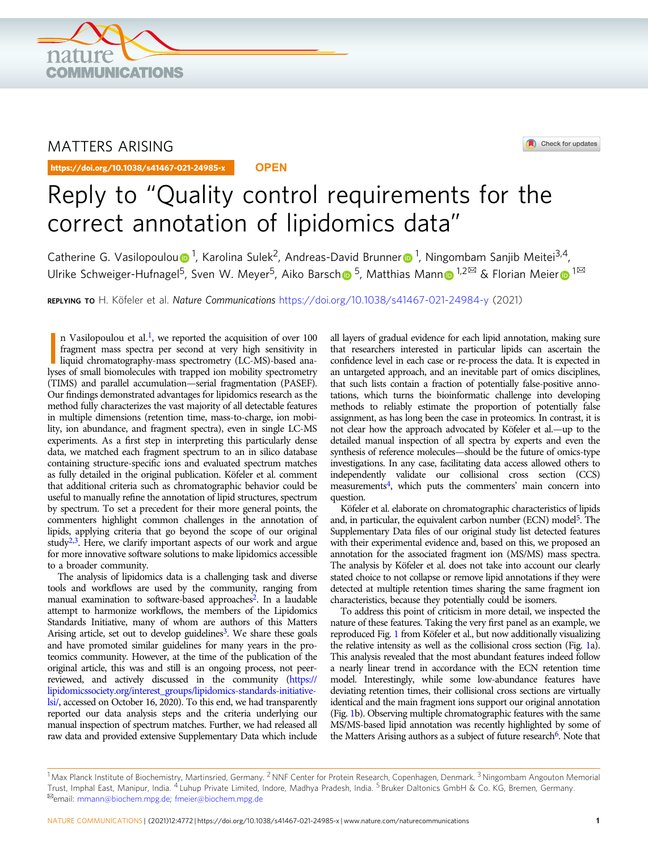

## MATTERS ARISING

https://doi.org/10.1038/s41467-021-24985-x **OPEN**



Check for updates

# Reply to "Quality control requirements for the correct annotation of lipidomics data"

Catherine G. Vasilopo[u](http://orcid.org/0000-0002-6622-1979)lou n [1](http://orcid.org/0000-0002-2733-7899), Ka[r](http://orcid.org/0000-0002-2733-7899)olina Sulek<sup>2</sup>, Andreas-David Brunner n 1, Ningombam Sanjib Meitei<sup>3,4</sup>, Ulrike Sc[h](http://orcid.org/0000-0002-7208-4528)weiger-Hufnagel<sup>[5](http://orcid.org/0000-0002-7208-4528)</sup>, Sve[n](http://orcid.org/0000-0003-1292-4799) W. Meyer<sup>5</sup>, Aiko Barsch <sup>5</sup>, Matthias Mann <sup>[1](http://orcid.org/0000-0003-1292-4799),2 $\boxtimes$ </sup> & Flo[r](http://orcid.org/0000-0003-4729-175X)ian Meier <sup>1 $\boxtimes$ </sup>

REPLYING TO H. Köfeler et al. Nature Communications <https://doi.org/10.1038/s41467-021-24984-y> (2021)

n Vasilopoulou et al.<sup>1</sup>, we reported the acquisition of over 100 fragment mass spectra per second at very high sensitivity in figure chromatography-mass spectrometry (LC-MS)-based ana-<br>liquid chromatography-mass spectrome n Vasilopoulou et al.<sup>1</sup>, we reported the acquisition of over  $100$ fragment mass spectra per second at very high sensitivity in lyses of small biomolecules with trapped ion mobility spectrometry (TIMS) and parallel accumulation—serial fragmentation (PASEF). Our findings demonstrated advantages for lipidomics research as the method fully characterizes the vast majority of all detectable features in multiple dimensions (retention time, mass-to-charge, ion mobility, ion abundance, and fragment spectra), even in single LC-MS experiments. As a first step in interpreting this particularly dense data, we matched each fragment spectrum to an in silico database containing structure-specific ions and evaluated spectrum matches as fully detailed in the original publication. Köfeler et al. comment that additional criteria such as chromatographic behavior could be useful to manually refine the annotation of lipid structures, spectrum by spectrum. To set a precedent for their more general points, the commenters highlight common challenges in the annotation of lipids, applying criteria that go beyond the scope of our original study $2,3$ . Here, we clarify important aspects of our work and argue for more innovative software solutions to make lipidomics accessible to a broader community.

The analysis of lipidomics data is a challenging task and diverse tools and workflows are used by the community, ranging from manual examination to software-based approaches<sup>2</sup>. In a laudable attempt to harmonize workflows, the members of the Lipidomics Standards Initiative, many of whom are authors of this Matters Arising article, set out to develop guidelines<sup>3</sup>. We share these goals and have promoted similar guidelines for many years in the proteomics community. However, at the time of the publication of the original article, this was and still is an ongoing process, not peerreviewed, and actively discussed in the community [\(https://](https://lipidomicssociety.org/interest_groups/lipidomics-standards-initiative-lsi/) [lipidomicssociety.org/interest\\_groups/lipidomics-standards-initiative](https://lipidomicssociety.org/interest_groups/lipidomics-standards-initiative-lsi/)[lsi/,](https://lipidomicssociety.org/interest_groups/lipidomics-standards-initiative-lsi/) accessed on October 16, 2020). To this end, we had transparently reported our data analysis steps and the criteria underlying our manual inspection of spectrum matches. Further, we had released all raw data and provided extensive Supplementary Data which include all layers of gradual evidence for each lipid annotation, making sure that researchers interested in particular lipids can ascertain the confidence level in each case or re-process the data. It is expected in an untargeted approach, and an inevitable part of omics disciplines, that such lists contain a fraction of potentially false-positive annotations, which turns the bioinformatic challenge into developing methods to reliably estimate the proportion of potentially false assignment, as has long been the case in proteomics. In contrast, it is not clear how the approach advocated by Köfeler et al.—up to the detailed manual inspection of all spectra by experts and even the synthesis of reference molecules—should be the future of omics-type investigations. In any case, facilitating data access allowed others to independently validate our collisional cross section (CCS) measurements<sup>4</sup>, which puts the commenters' main concern into question.

Köfeler et al. elaborate on chromatographic characteristics of lipids and, in particular, the equivalent carbon number (ECN) model<sup>[5](#page-2-0)</sup>. The Supplementary Data files of our original study list detected features with their experimental evidence and, based on this, we proposed an annotation for the associated fragment ion (MS/MS) mass spectra. The analysis by Köfeler et al. does not take into account our clearly stated choice to not collapse or remove lipid annotations if they were detected at multiple retention times sharing the same fragment ion characteristics, because they potentially could be isomers.

To address this point of criticism in more detail, we inspected the nature of these features. Taking the very first panel as an example, we reproduced Fig. [1](#page-1-0) from Köfeler et al., but now additionally visualizing the relative intensity as well as the collisional cross section (Fig. [1a](#page-1-0)). This analysis revealed that the most abundant features indeed follow a nearly linear trend in accordance with the ECN retention time model. Interestingly, while some low-abundance features have deviating retention times, their collisional cross sections are virtually identical and the main fragment ions support our original annotation (Fig. [1](#page-1-0)b). Observing multiple chromatographic features with the same MS/MS-based lipid annotation was recently highlighted by some of the Matters Arising authors as a subject of future research<sup>6</sup>. Note that

 $^1$ Max Planck Institute of Biochemistry, Martinsried, Germany. <sup>2</sup>NNF Center for Protein Research, Copenhagen, Denmark. <sup>3</sup>Ningombam Angouton Memorial Trust, Imphal East, Manipur, India. <sup>4</sup> Luhup Private Limited, Indore, Madhya Pradesh, India. <sup>5</sup> Bruker Daltonics GmbH & Co. KG, Bremen, Germany.<br><sup>⊠</sup>email: [mmann@biochem.mpg.de](mailto:mmann@biochem.mpg.de); [fmeier@biochem.mpg.de](mailto:fmeier@biochem.mpg.de)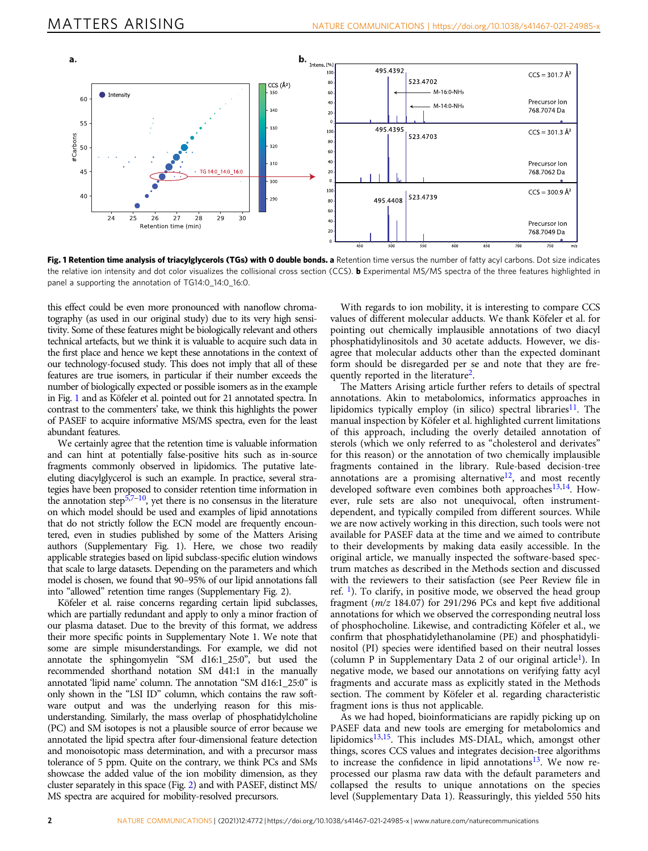<span id="page-1-0"></span>

Fig. 1 Retention time analysis of triacylglycerols (TGs) with 0 double bonds. a Retention time versus the number of fatty acyl carbons. Dot size indicates the relative ion intensity and dot color visualizes the collisional cross section (CCS). **b** Experimental MS/MS spectra of the three features highlighted in panel a supporting the annotation of TG14:0\_14:0\_16:0.

this effect could be even more pronounced with nanoflow chromatography (as used in our original study) due to its very high sensitivity. Some of these features might be biologically relevant and others technical artefacts, but we think it is valuable to acquire such data in the first place and hence we kept these annotations in the context of our technology-focused study. This does not imply that all of these features are true isomers, in particular if their number exceeds the number of biologically expected or possible isomers as in the example in Fig. 1 and as Köfeler et al. pointed out for 21 annotated spectra. In contrast to the commenters' take, we think this highlights the power of PASEF to acquire informative MS/MS spectra, even for the least abundant features.

We certainly agree that the retention time is valuable information and can hint at potentially false-positive hits such as in-source fragments commonly observed in lipidomics. The putative lateeluting diacylglycerol is such an example. In practice, several strategies have been proposed to consider retention time information in the annotation step<sup>[5](#page-2-0),[7](#page-2-0)–[10](#page-2-0)</sup>, yet there is no consensus in the literature on which model should be used and examples of lipid annotations that do not strictly follow the ECN model are frequently encountered, even in studies published by some of the Matters Arising authors (Supplementary Fig. 1). Here, we chose two readily applicable strategies based on lipid subclass-specific elution windows that scale to large datasets. Depending on the parameters and which model is chosen, we found that 90–95% of our lipid annotations fall into "allowed" retention time ranges (Supplementary Fig. 2).

Köfeler et al. raise concerns regarding certain lipid subclasses, which are partially redundant and apply to only a minor fraction of our plasma dataset. Due to the brevity of this format, we address their more specific points in Supplementary Note 1. We note that some are simple misunderstandings. For example, we did not annotate the sphingomyelin "SM d16:1\_25:0", but used the recommended shorthand notation SM d41:1 in the manually annotated 'lipid name' column. The annotation "SM d16:1\_25:0" is only shown in the "LSI ID" column, which contains the raw software output and was the underlying reason for this misunderstanding. Similarly, the mass overlap of phosphatidylcholine (PC) and SM isotopes is not a plausible source of error because we annotated the lipid spectra after four-dimensional feature detection and monoisotopic mass determination, and with a precursor mass tolerance of 5 ppm. Quite on the contrary, we think PCs and SMs showcase the added value of the ion mobility dimension, as they cluster separately in this space (Fig. [2](#page-2-0)) and with PASEF, distinct MS/ MS spectra are acquired for mobility-resolved precursors.

With regards to ion mobility, it is interesting to compare CCS values of different molecular adducts. We thank Köfeler et al. for pointing out chemically implausible annotations of two diacyl phosphatidylinositols and 30 acetate adducts. However, we disagree that molecular adducts other than the expected dominant form should be disregarded per se and note that they are fre-quently reported in the literature<sup>[2](#page-2-0)</sup>.

The Matters Arising article further refers to details of spectral annotations. Akin to metabolomics, informatics approaches in lipidomics typically employ (in silico) spectral libraries<sup>[11](#page-2-0)</sup>. The manual inspection by Köfeler et al. highlighted current limitations of this approach, including the overly detailed annotation of sterols (which we only referred to as "cholesterol and derivates" for this reason) or the annotation of two chemically implausible fragments contained in the library. Rule-based decision-tree annotations are a promising alternative $12$ , and most recently developed software even combines both approaches<sup>13,14</sup>. However, rule sets are also not unequivocal, often instrumentdependent, and typically compiled from different sources. While we are now actively working in this direction, such tools were not available for PASEF data at the time and we aimed to contribute to their developments by making data easily accessible. In the original article, we manually inspected the software-based spectrum matches as described in the Methods section and discussed with the reviewers to their satisfaction (see Peer Review file in ref.  $\frac{1}{1}$ ). To clarify, in positive mode, we observed the head group fragment ( $m/z$  184.07) for 291/296 PCs and kept five additional annotations for which we observed the corresponding neutral loss of phosphocholine. Likewise, and contradicting Köfeler et al., we confirm that phosphatidylethanolamine (PE) and phosphatidylinositol (PI) species were identified based on their neutral losses (column P in Supplementary Data 2 of our original article<sup>1</sup>). In negative mode, we based our annotations on verifying fatty acyl fragments and accurate mass as explicitly stated in the Methods section. The comment by Köfeler et al. regarding characteristic fragment ions is thus not applicable.

As we had hoped, bioinformaticians are rapidly picking up on PASEF data and new tools are emerging for metabolomics and lipidomics<sup>[13](#page-2-0),[15](#page-2-0)</sup>. This includes MS-DIAL, which, amongst other things, scores CCS values and integrates decision-tree algorithms to increase the confidence in lipid annotations<sup>13</sup>. We now reprocessed our plasma raw data with the default parameters and collapsed the results to unique annotations on the species level (Supplementary Data 1). Reassuringly, this yielded 550 hits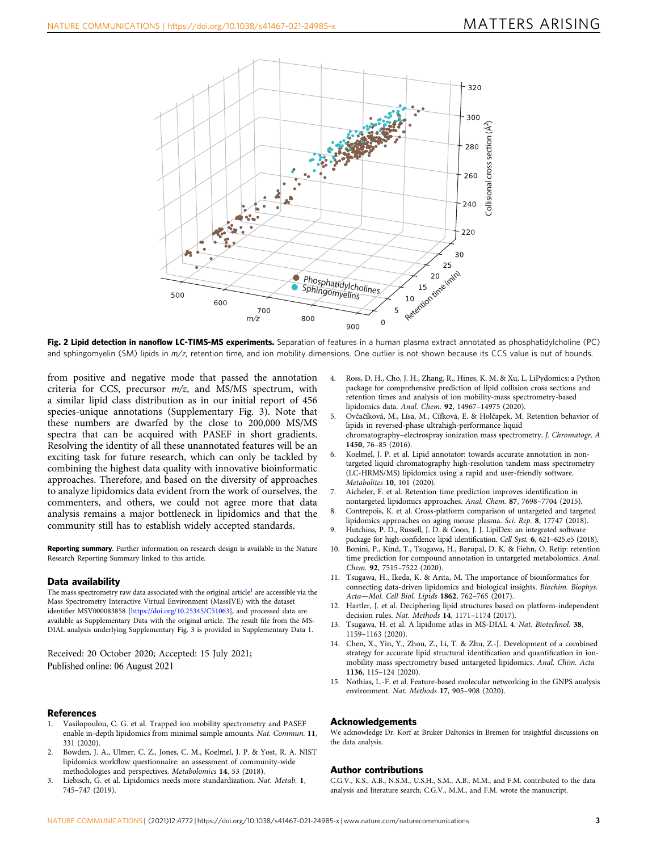<span id="page-2-0"></span>

Fig. 2 Lipid detection in nanoflow LC-TIMS-MS experiments. Separation of features in a human plasma extract annotated as phosphatidylcholine (PC) and sphingomyelin (SM) lipids in m/z, retention time, and ion mobility dimensions. One outlier is not shown because its CCS value is out of bounds.

from positive and negative mode that passed the annotation criteria for CCS, precursor  $m/z$ , and MS/MS spectrum, with a similar lipid class distribution as in our initial report of 456 species-unique annotations (Supplementary Fig. 3). Note that these numbers are dwarfed by the close to 200,000 MS/MS spectra that can be acquired with PASEF in short gradients. Resolving the identity of all these unannotated features will be an exciting task for future research, which can only be tackled by combining the highest data quality with innovative bioinformatic approaches. Therefore, and based on the diversity of approaches to analyze lipidomics data evident from the work of ourselves, the commenters, and others, we could not agree more that data analysis remains a major bottleneck in lipidomics and that the community still has to establish widely accepted standards.

Reporting summary. Further information on research design is available in the Nature Research Reporting Summary linked to this article.

#### Data availability

The mass spectrometry raw data associated with the original article<sup>1</sup> are accessible via the Mass Spectrometry Interactive Virtual Environment (MassIVE) with the dataset identifier MSV000083858 [\[https://doi.org/10.25345/C51063](https://doi.org/10.25345/C51063)], and processed data are available as Supplementary Data with the original article. The result file from the MS-DIAL analysis underlying Supplementary Fig. 3 is provided in Supplementary Data 1.

Received: 20 October 2020; Accepted: 15 July 2021; Published online: 06 August 2021

#### **References**

- 1. Vasilopoulou, C. G. et al. Trapped ion mobility spectrometry and PASEF enable in-depth lipidomics from minimal sample amounts. Nat. Commun. 11, 331 (2020).
- 2. Bowden, J. A., Ulmer, C. Z., Jones, C. M., Koelmel, J. P. & Yost, R. A. NIST lipidomics workflow questionnaire: an assessment of community-wide methodologies and perspectives. Metabolomics 14, 53 (2018).
- 3. Liebisch, G. et al. Lipidomics needs more standardization. Nat. Metab. 1, 745–747 (2019).
- 4. Ross, D. H., Cho, J. H., Zhang, R., Hines, K. M. & Xu, L. LiPydomics: a Python package for comprehensive prediction of lipid collision cross sections and retention times and analysis of ion mobility-mass spectrometry-based lipidomics data. Anal. Chem. 92, 14967–14975 (2020).
- 5. Ovčačíková, M., Lísa, M., Cífková, E. & Holčapek, M. Retention behavior of lipids in reversed-phase ultrahigh-performance liquid chromatography–electrospray ionization mass spectrometry. J. Chromatogr. A 1450, 76–85 (2016).
- 6. Koelmel, J. P. et al. Lipid annotator: towards accurate annotation in nontargeted liquid chromatography high-resolution tandem mass spectrometry (LC-HRMS/MS) lipidomics using a rapid and user-friendly software. Metabolites 10, 101 (2020).
- 7. Aicheler, F. et al. Retention time prediction improves identification in nontargeted lipidomics approaches. Anal. Chem. 87, 7698–7704 (2015).
- 8. Contrepois, K. et al. Cross-platform comparison of untargeted and targeted lipidomics approaches on aging mouse plasma. Sci. Rep. 8, 17747 (2018).
- 9. Hutchins, P. D., Russell, J. D. & Coon, J. J. LipiDex: an integrated software package for high-confidence lipid identification. Cell Syst. 6, 621–625.e5 (2018).
- 10. Bonini, P., Kind, T., Tsugawa, H., Barupal, D. K. & Fiehn, O. Retip: retention time prediction for compound annotation in untargeted metabolomics. Anal. Chem. 92, 7515–7522 (2020).
- 11. Tsugawa, H., Ikeda, K. & Arita, M. The importance of bioinformatics for connecting data-driven lipidomics and biological insights. Biochim. Biophys. Acta—Mol. Cell Biol. Lipids 1862, 762–765 (2017).
- 12. Hartler, J. et al. Deciphering lipid structures based on platform-independent decision rules. Nat. Methods 14, 1171–1174 (2017).
- 13. Tsugawa, H. et al. A lipidome atlas in MS-DIAL 4. Nat. Biotechnol. 38, 1159–1163 (2020).
- 14. Chen, X., Yin, Y., Zhou, Z., Li, T. & Zhu, Z.-J. Development of a combined strategy for accurate lipid structural identification and quantification in ionmobility mass spectrometry based untargeted lipidomics. Anal. Chim. Acta 1136, 115–124 (2020).
- 15. Nothias, L.-F. et al. Feature-based molecular networking in the GNPS analysis environment. Nat. Methods 17, 905–908 (2020).

#### Acknowledgements

We acknowledge Dr. Korf at Bruker Daltonics in Bremen for insightful discussions on the data analysis.

#### Author contributions

C.G.V., K.S., A.B., N.S.M., U.S.H., S.M., A.B., M.M., and F.M. contributed to the data